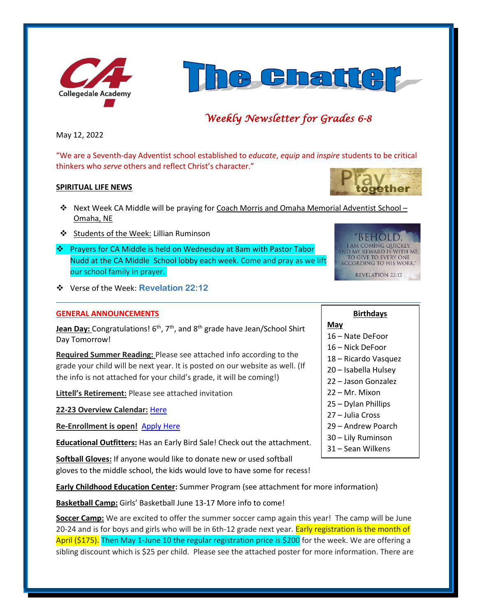



# *Weekly Newsletter for Grades 6-8*

May 12, 2022

"We are a Seventh-day Adventist school established to *educate*, *equip* and *inspire* students to be critical thinkers who *serve* others and reflect Christ's character."

## **SPIRITUAL LIFE NEWS**

- ❖ Next Week CA Middle will be praying for Coach Morris and Omaha Memorial Adventist School Omaha, NE
- ❖ Students of the Week: Lillian Ruminson
- ❖ Prayers for CA Middle is held on Wednesday at 8am with Pastor Tabor Nudd at the CA Middle School lobby each week. Come and pray as we lift our school family in prayer.
- ❖ Verse of the Week: **Revelation 22:12**

### **GENERAL ANNOUNCEMENTS**

Jean Day: Congratulations! 6<sup>th</sup>, 7<sup>th</sup>, and 8<sup>th</sup> grade have Jean/School Shirt Day Tomorrow!

**Required Summer Reading:** Please see attached info according to the grade your child will be next year. It is posted on our website as well. (If the info is not attached for your child's grade, it will be coming!)

**Littell's Retirement:** Please see attached invitation

**22-23 Overview Calendar:** [Here](https://www.collegedaleacademy.com/wp-content/uploads/2022/04/2022-23-Overview-Calendar-middle.pdf)

**Re-Enrollment is open!** [Apply Here](http://collegedaleacademy.com/apply)

**Educational Outfitters:** Has an Early Bird Sale! Check out the attachment.

**Softball Gloves:** If anyone would like to donate new or used softball gloves to the middle school, the kids would love to have some for recess!

**Early Childhood Education Center:** Summer Program (see attachment for more information)

**Basketball Camp:** Girls' Basketball June 13-17 More info to come!

**Soccer Camp:** We are excited to offer the summer soccer camp again this year! The camp will be June 20-24 and is for boys and girls who will be in 6th-12 grade next year. Early registration is the month of April (\$175). Then May 1-June 10 the regular registration price is \$200 for the week. We are offering a sibling discount which is \$25 per child. Please see the attached poster for more information. There are





**Birthdays**

# **May**

- 16 Nate DeFoor
- 16 Nick DeFoor
- 18 Ricardo Vasquez
- 20 Isabella Hulsey
- 22 Jason Gonzalez
- 22 Mr. Mixon
- 25 Dylan Phillips
- 27 Julia Cross
- 29 Andrew Poarch
- 30 Lily Ruminson
- 31 Sean Wilkens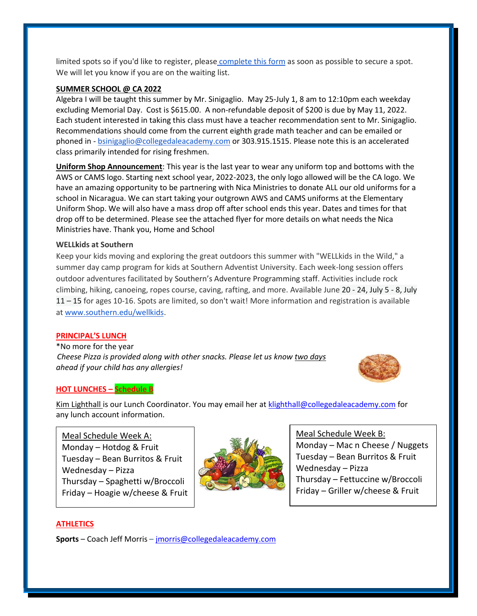limited spots so if you'd like to register, please [complete this form](https://forms.gle/cvV8zJutoMjgpXwMA) as soon as possible to secure a spot. We will let you know if you are on the waiting list.

### **SUMMER SCHOOL @ CA 2022**

Algebra I will be taught this summer by Mr. Sinigaglio. May 25-July 1, 8 am to 12:10pm each weekday excluding Memorial Day. Cost is \$615.00. A non-refundable deposit of \$200 is due by May 11, 2022. Each student interested in taking this class must have a teacher recommendation sent to Mr. Sinigaglio. Recommendations should come from the current eighth grade math teacher and can be emailed or phoned in - [bsinigaglio@collegedaleacademy.com](mailto:bsinigaglio@collegedaleacademy.com) or 303.915.1515. Please note this is an accelerated class primarily intended for rising freshmen.

**Uniform Shop Announcement**: This year is the last year to wear any uniform top and bottoms with the AWS or CAMS logo. Starting next school year, 2022-2023, the only logo allowed will be the CA logo. We have an amazing opportunity to be partnering with Nica Ministries to donate ALL our old uniforms for a school in Nicaragua. We can start taking your outgrown AWS and CAMS uniforms at the Elementary Uniform Shop. We will also have a mass drop off after school ends this year. Dates and times for that drop off to be determined. Please see the attached flyer for more details on what needs the Nica Ministries have. Thank you, Home and School

### **WELLkids at Southern**

Keep your kids moving and exploring the great outdoors this summer with "WELLkids in the Wild," a summer day camp program for kids at Southern Adventist University. Each week-long session offers outdoor adventures facilitated by Southern's Adventure Programming staff. Activities include rock climbing, hiking, canoeing, ropes course, caving, rafting, and more. Available June 20 - 24, July 5 - 8, July 11 – 15 for ages 10-16. Spots are limited, so don't wait! More information and registration is available at [www.southern.edu/wellkids.](http://www.southern.edu/wellkids)

#### **PRINCIPAL'S LUNCH**

\*No more for the year *Cheese Pizza is provided along with other snacks. Please let us know two days ahead if your child has any allergies!*



### **HOT LUNCHES – Schedule B**

Kim Lighthall is our Lunch Coordinator. You may email her a[t klighthall@collegedaleacademy.com](mailto:klighthall@collegedaleacademy.com) for any lunch account information.

# Meal Schedule Week A:

Monday – Hotdog & Fruit Tuesday – Bean Burritos & Fruit Wednesday – Pizza Thursday – Spaghetti w/Broccoli Friday – Hoagie w/cheese & Fruit



Meal Schedule Week B: Monday – Mac n Cheese / Nuggets Tuesday – Bean Burritos & Fruit Wednesday – Pizza Thursday – Fettuccine w/Broccoli Friday – Griller w/cheese & Fruit

### **ATHLETICS**

**Sports** – Coach Jeff Morris – [jmorris@collegedaleacademy.com](mailto:jmorris@collegedaleacademy.com)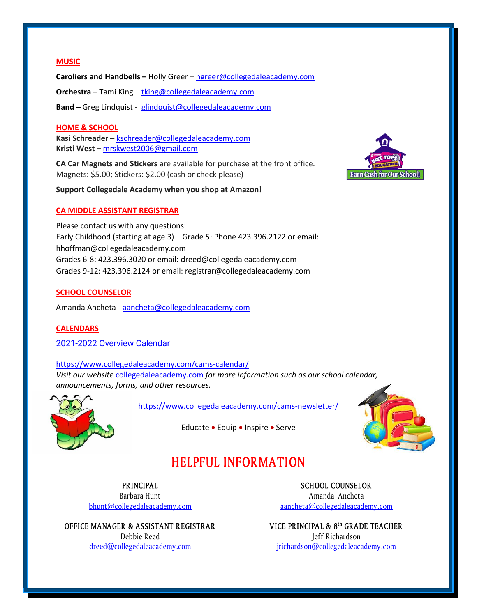## **MUSIC**

**Caroliers and Handbells –** Holly Greer – [hgreer@collegedaleacademy.com](mailto:hgreer@collegedaleacademy.com) **Orchestra –** Tami King – [tking@collegedaleacademy.com](mailto:tking@collegedaleacademy.com) **Band –** Greg Lindquist - [glindquist@collegedaleacademy.com](mailto:glindquist@collegedaleacademy.com)

### **HOME & SCHOOL**

**Kasi Schreader –** [kschreader@collegedaleacademy.com](mailto:kschreader@collegedaleacademy.com) **Kristi West –** [mrskwest2006@gmail.com](mailto:mrskwest2006@gmail.com)

**CA Car Magnets and Stickers** are available for purchase at the front office. Magnets: \$5.00; Stickers: \$2.00 (cash or check please)

**Support Collegedale Academy when you shop at Amazon!**

### **CA MIDDLE ASSISTANT REGISTRAR**

Please contact us with any questions: Early Childhood (starting at age 3) – Grade 5: Phone 423.396.2122 or email: hhoffman@collegedaleacademy.com Grades 6-8: 423.396.3020 or email: dreed@collegedaleacademy.com Grades 9-12: 423.396.2124 or email: registrar@collegedaleacademy.com

### **SCHOOL COUNSELOR**

Amanda Ancheta - [aancheta@collegedaleacademy.com](mailto:aancheta@collegedaleacademy.com)

#### **CALENDARS**

2021-2022 [Overview Calendar](https://www.collegedaleacademy.com/wp-content/uploads/2021/07/2021-22-Overview-Calendar-middle.pdf)

<https://www.collegedaleacademy.com/cams-calendar/> *Visit our website* [collegedaleacademy.com](https://www.collegedaleacademy.com/) *for more information such as our school calendar, announcements, forms, and other resources.*



<https://www.collegedaleacademy.com/cams-newsletter/>

Educate • Equip • Inspire • Serve



# **HELPFUL INFORMATION**

**PRINCIPAL** Barbara Hunt [bhunt@collegedaleacademy.com](mailto:bhunt@collegedaleacademy.com)

**OFFICE MANAGER & ASSISTANT REGISTRAR** Debbie Reed [dreed@collegedaleacademy.com](mailto:dreed@collegedaleacademy.com)

**SCHOOL COUNSELOR** Amanda Ancheta [aancheta@collegedaleacademy.com](mailto:aancheta@collegedaleacademy.com)

**VICE PRINCIPAL & 8th GRADE TEACHER** Jeff Richardson [jrichardson@collegedaleacademy.com](mailto:jrichardson@collegedaleacademy.com)